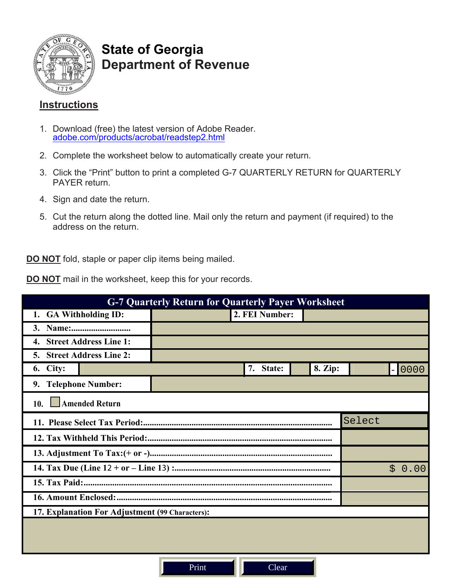

# **State of Georgia Department of Revenue**

# **Instructions**

- 1. Download (free) the latest version of Adobe Reader. [adobe.com/products/acrobat/readstep2.html](http://www.adobe.com/products/acrobat/readstep2.html)
- 2. Complete the worksheet below to automatically create your return.
- 3. Click the "Print" button to print a completed G-7 QUARTERLY RETURN for QUARTERLY PAYER return.
- 4. Sign and date the return.
- 5. Cut the return along the dotted line. Mail only the return and payment (if required) to the address on the return.

**DO NOT** fold, staple or paper clip items being mailed.

**DO NOT** mail in the worksheet, keep this for your records.

| <b>G-7 Quarterly Return for Quarterly Payer Worksheet</b> |                |           |  |         |  |  |          |  |  |
|-----------------------------------------------------------|----------------|-----------|--|---------|--|--|----------|--|--|
| <b>GA Withholding ID:</b><br>1.                           | 2. FEI Number: |           |  |         |  |  |          |  |  |
| <b>3.</b>                                                 |                |           |  |         |  |  |          |  |  |
| <b>Street Address Line 1:</b><br>4.                       |                |           |  |         |  |  |          |  |  |
| <b>Street Address Line 2:</b><br>5.                       |                |           |  |         |  |  |          |  |  |
| 6. City:                                                  |                | 7. State: |  | 8. Zip: |  |  | $-10000$ |  |  |
| <b>Telephone Number:</b><br>9.                            |                |           |  |         |  |  |          |  |  |
| <b>Amended Return</b><br>10.                              |                |           |  |         |  |  |          |  |  |
| Select                                                    |                |           |  |         |  |  |          |  |  |
|                                                           |                |           |  |         |  |  |          |  |  |
|                                                           |                |           |  |         |  |  |          |  |  |
| \$0.00                                                    |                |           |  |         |  |  |          |  |  |
|                                                           |                |           |  |         |  |  |          |  |  |
|                                                           |                |           |  |         |  |  |          |  |  |
| 17. Explanation For Adjustment (99 Characters):           |                |           |  |         |  |  |          |  |  |
|                                                           |                |           |  |         |  |  |          |  |  |
|                                                           |                |           |  |         |  |  |          |  |  |
|                                                           |                |           |  |         |  |  |          |  |  |

Print II Clear